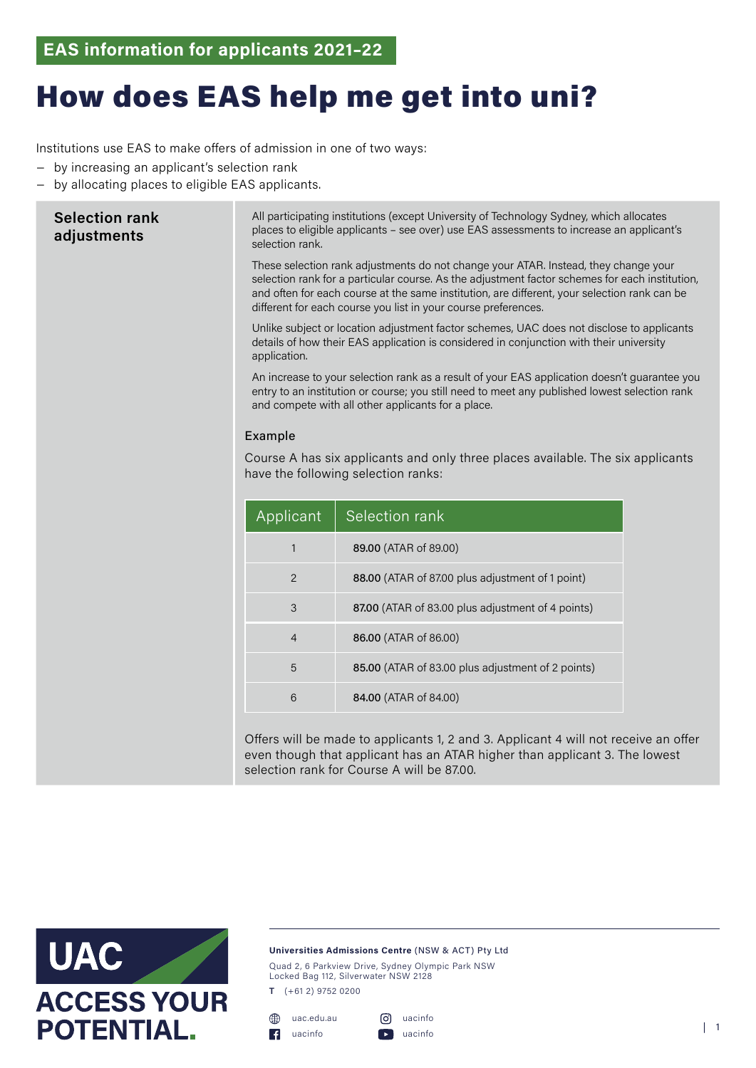## How does EAS help me get into uni?

Institutions use EAS to make offers of admission in one of two ways:

- − by increasing an applicant's selection rank
- − by allocating places to eligible EAS applicants.

| <b>Selection rank</b><br>adjustments | All participating institutions (except University of Technology Sydney, which allocates<br>places to eligible applicants - see over) use EAS assessments to increase an applicant's<br>selection rank.<br>These selection rank adjustments do not change your ATAR. Instead, they change your<br>selection rank for a particular course. As the adjustment factor schemes for each institution, |                                                   |
|--------------------------------------|-------------------------------------------------------------------------------------------------------------------------------------------------------------------------------------------------------------------------------------------------------------------------------------------------------------------------------------------------------------------------------------------------|---------------------------------------------------|
|                                      | and often for each course at the same institution, are different, your selection rank can be<br>different for each course you list in your course preferences.                                                                                                                                                                                                                                  |                                                   |
|                                      | Unlike subject or location adjustment factor schemes, UAC does not disclose to applicants<br>details of how their EAS application is considered in conjunction with their university<br>application.                                                                                                                                                                                            |                                                   |
|                                      | An increase to your selection rank as a result of your EAS application doesn't guarantee you<br>entry to an institution or course; you still need to meet any published lowest selection rank<br>and compete with all other applicants for a place.                                                                                                                                             |                                                   |
|                                      | Example                                                                                                                                                                                                                                                                                                                                                                                         |                                                   |
|                                      | Course A has six applicants and only three places available. The six applicants<br>have the following selection ranks:                                                                                                                                                                                                                                                                          |                                                   |
|                                      | Applicant                                                                                                                                                                                                                                                                                                                                                                                       | Selection rank                                    |
|                                      | $\mathbf{1}$                                                                                                                                                                                                                                                                                                                                                                                    | 89.00 (ATAR of 89.00)                             |
|                                      | $\overline{2}$                                                                                                                                                                                                                                                                                                                                                                                  | 88.00 (ATAR of 87.00 plus adjustment of 1 point)  |
|                                      | 3                                                                                                                                                                                                                                                                                                                                                                                               | 87.00 (ATAR of 83.00 plus adjustment of 4 points) |
|                                      | 4                                                                                                                                                                                                                                                                                                                                                                                               | 86.00 (ATAR of 86.00)                             |
|                                      | 5                                                                                                                                                                                                                                                                                                                                                                                               | 85.00 (ATAR of 83.00 plus adjustment of 2 points) |
|                                      | 6                                                                                                                                                                                                                                                                                                                                                                                               | 84.00 (ATAR of 84.00)                             |
|                                      |                                                                                                                                                                                                                                                                                                                                                                                                 |                                                   |

Offers will be made to applicants 1, 2 and 3. Applicant 4 will not receive an offer even though that applicant has an ATAR higher than applicant 3. The lowest selection rank for Course A will be 87.00.



## **Universities Admissions Centre** (NSW & ACT) Pty Ltd

Quad 2, 6 Parkview Drive, Sydney Olympic Park NSW Locked Bag 112, Silverwater NSW 2128

**T** (+61 2) 9752 0200